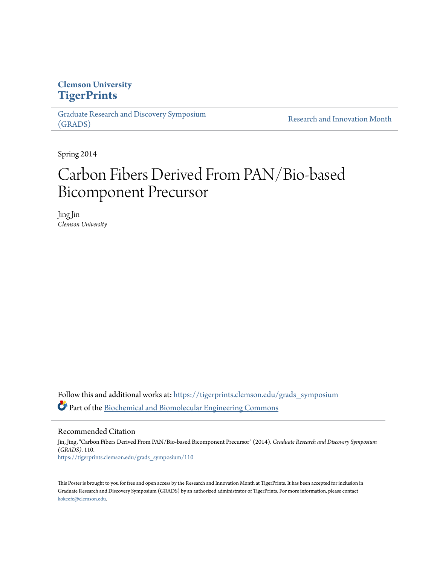## **Clemson University [TigerPrints](https://tigerprints.clemson.edu?utm_source=tigerprints.clemson.edu%2Fgrads_symposium%2F110&utm_medium=PDF&utm_campaign=PDFCoverPages)**

[Graduate Research and Discovery Symposium](https://tigerprints.clemson.edu/grads_symposium?utm_source=tigerprints.clemson.edu%2Fgrads_symposium%2F110&utm_medium=PDF&utm_campaign=PDFCoverPages) [\(GRADS\)](https://tigerprints.clemson.edu/grads_symposium?utm_source=tigerprints.clemson.edu%2Fgrads_symposium%2F110&utm_medium=PDF&utm_campaign=PDFCoverPages)

[Research and Innovation Month](https://tigerprints.clemson.edu/rim?utm_source=tigerprints.clemson.edu%2Fgrads_symposium%2F110&utm_medium=PDF&utm_campaign=PDFCoverPages)

Spring 2014

## Carbon Fibers Derived From PAN/Bio-based Bicomponent Precursor

Jing Jin *Clemson University*

Follow this and additional works at: [https://tigerprints.clemson.edu/grads\\_symposium](https://tigerprints.clemson.edu/grads_symposium?utm_source=tigerprints.clemson.edu%2Fgrads_symposium%2F110&utm_medium=PDF&utm_campaign=PDFCoverPages) Part of the [Biochemical and Biomolecular Engineering Commons](http://network.bepress.com/hgg/discipline/241?utm_source=tigerprints.clemson.edu%2Fgrads_symposium%2F110&utm_medium=PDF&utm_campaign=PDFCoverPages)

Recommended Citation

Jin, Jing, "Carbon Fibers Derived From PAN/Bio-based Bicomponent Precursor" (2014). *Graduate Research and Discovery Symposium (GRADS)*. 110. [https://tigerprints.clemson.edu/grads\\_symposium/110](https://tigerprints.clemson.edu/grads_symposium/110?utm_source=tigerprints.clemson.edu%2Fgrads_symposium%2F110&utm_medium=PDF&utm_campaign=PDFCoverPages)

This Poster is brought to you for free and open access by the Research and Innovation Month at TigerPrints. It has been accepted for inclusion in Graduate Research and Discovery Symposium (GRADS) by an authorized administrator of TigerPrints. For more information, please contact [kokeefe@clemson.edu](mailto:kokeefe@clemson.edu).